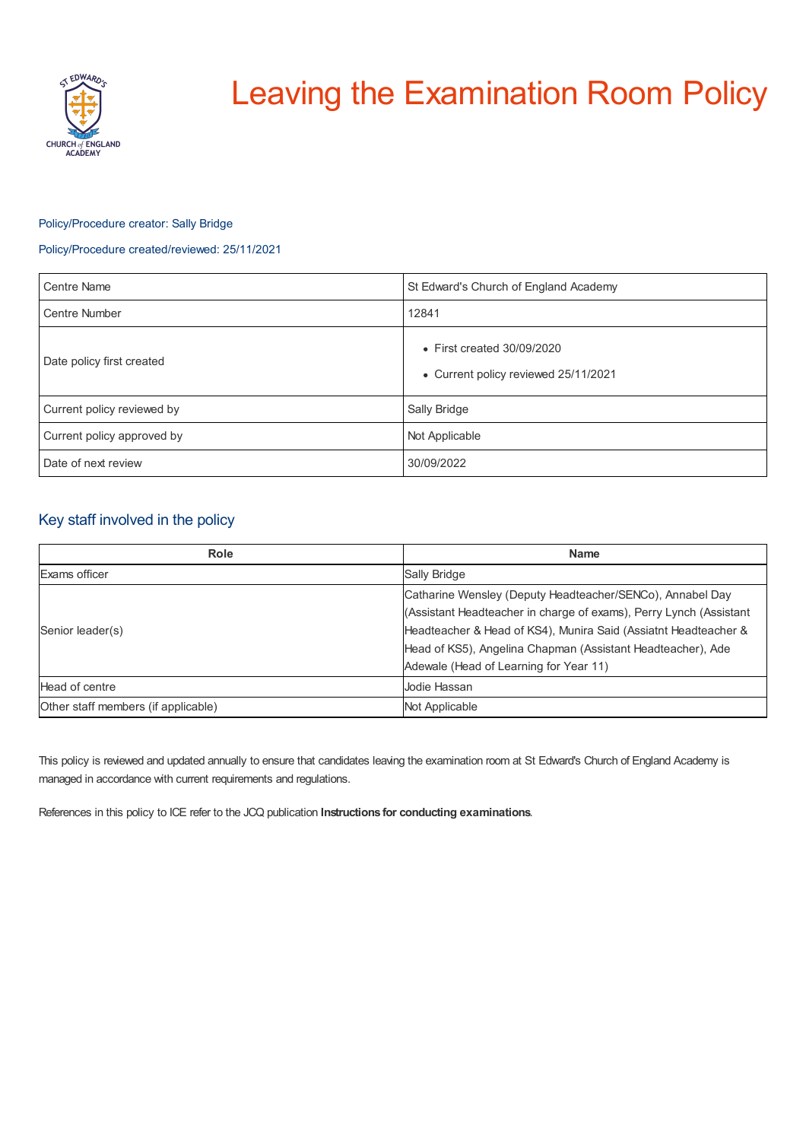

# Leaving the Examination Room Policy

## Policy/Procedure creator: Sally Bridge

## Policy/Procedure created/reviewed: 25/11/2021

| <b>Centre Name</b>         | St Edward's Church of England Academy                                      |
|----------------------------|----------------------------------------------------------------------------|
| <b>Centre Number</b>       | 12841                                                                      |
| Date policy first created  | $\bullet$ First created 30/09/2020<br>• Current policy reviewed 25/11/2021 |
| Current policy reviewed by | Sally Bridge                                                               |
| Current policy approved by | Not Applicable                                                             |
| Date of next review        | 30/09/2022                                                                 |

## Key staff involved in the policy

| <b>Role</b>                         | <b>Name</b>                                                        |
|-------------------------------------|--------------------------------------------------------------------|
| Exams officer                       | Sally Bridge                                                       |
| Senior leader(s)                    | Catharine Wensley (Deputy Headteacher/SENCo), Annabel Day          |
|                                     | (Assistant Headteacher in charge of exams), Perry Lynch (Assistant |
|                                     | Headteacher & Head of KS4), Munira Said (Assiatnt Headteacher &    |
|                                     | Head of KS5), Angelina Chapman (Assistant Headteacher), Ade        |
|                                     | Adewale (Head of Learning for Year 11)                             |
| Head of centre                      | Jodie Hassan                                                       |
| Other staff members (if applicable) | Not Applicable                                                     |

This policy is reviewed and updated annually to ensure that candidates leaving the examination room at St Edward's Church of England Academy is managed in accordance with current requirements and regulations.

References in this policy to ICE refer to the JCQ publication **Instructions for conducting examinations**.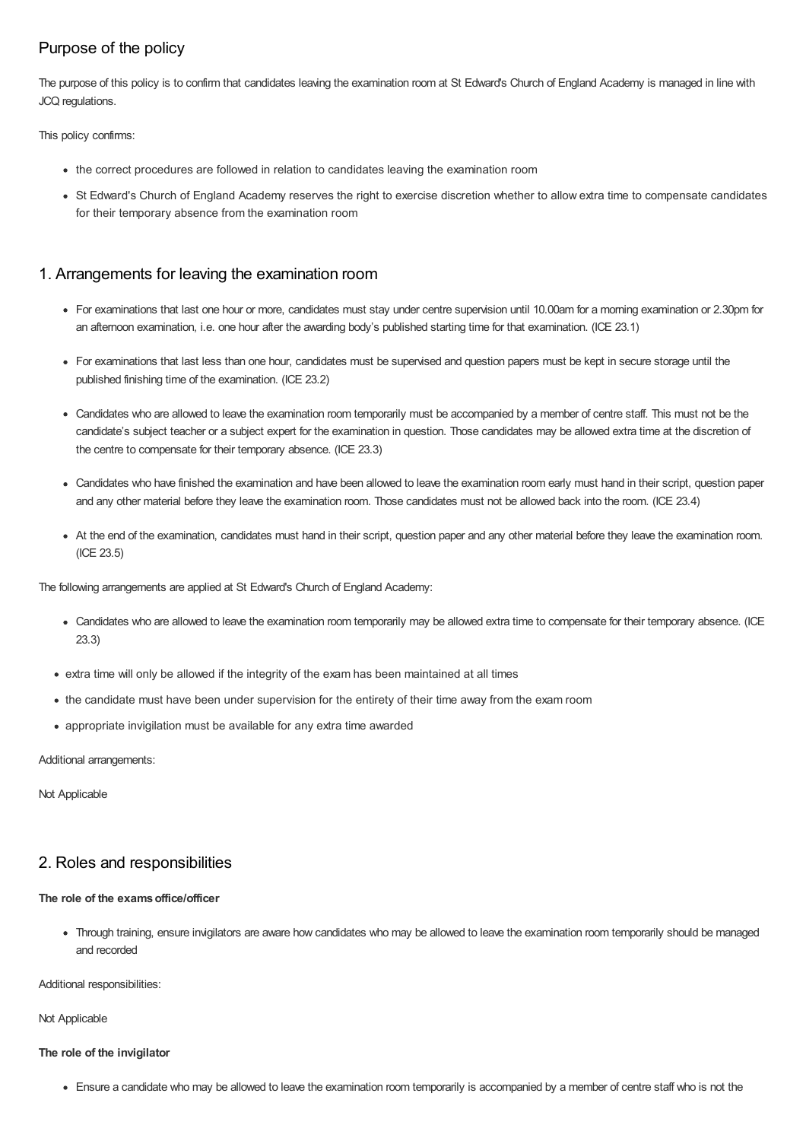# Purpose of the policy

The purpose of this policy is to confirm that candidates leaving the examination room at St Edward's Church of England Academy is managed in line with JCQ regulations.

This policy confirms:

- the correct procedures are followed in relation to candidates leaving the examination room
- St Edward's Church of England Academy reserves the right to exercise discretion whether to allow extra time to compensate candidates for their temporary absence from the examination room

# 1. Arrangements for leaving the examination room

- For examinations that last one hour or more, candidates must stay under centre supervision until 10.00am for a morning examination or 2.30pm for an afternoon examination, i.e. one hour after the awarding body's published starting time for that examination. (ICE 23.1)
- For examinations that last less than one hour, candidates must be supervised and question papers must be kept in secure storage until the published finishing time of the examination. (ICE 23.2)
- Candidates who are allowed to leave the examination room temporarily must be accompanied by a member of centre staff. This must not be the candidate's subject teacher or a subject expert for the examination in question. Those candidates may be allowed extra time at the discretion of the centre to compensate for their temporary absence. (ICE 23.3)
- Candidates who have finished the examination and have been allowed to leave the examination room early must hand in their script, question paper and any other material before they leave the examination room. Those candidates must not be allowed back into the room. (ICE 23.4)
- At the end of the examination, candidates must hand in their script, question paper and any other material before they leave the examination room. (ICE 23.5)

The following arrangements are applied at St Edward's Church of England Academy:

- Candidates who are allowed to leave the examination room temporarily may be allowed extra time to compensate for their temporary absence. (ICE 23.3)
- extra time will only be allowed if the integrity of the exam has been maintained at all times
- the candidate must have been under supervision for the entirety of their time away from the exam room
- appropriate invigilation must be available for any extra time awarded

Additional arrangements:

Not Applicable

# 2. Roles and responsibilities

### **The role of the examsoffice/officer**

Through training, ensure invigilators are aware how candidates who may be allowed to leave the examination room temporarily should be managed and recorded

Additional responsibilities:

Not Applicable

#### **The role of the invigilator**

Ensure a candidate who may be allowed to leave the examination room temporarily is accompanied by a member of centre staff who is not the